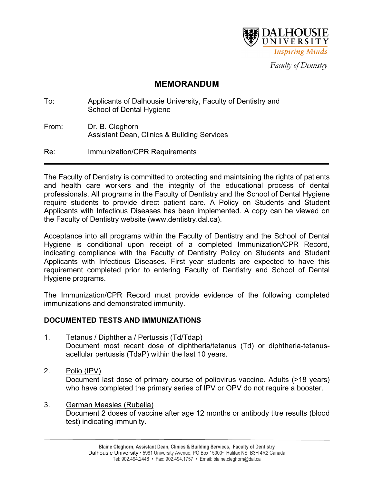

*Faculty of Dentistry*

# **MEMORANDUM**

| To:   | Applicants of Dalhousie University, Faculty of Dentistry and<br><b>School of Dental Hygiene</b> |
|-------|-------------------------------------------------------------------------------------------------|
| From: | Dr. B. Cleghorn<br><b>Assistant Dean, Clinics &amp; Building Services</b>                       |
| Re:   | Immunization/CPR Requirements                                                                   |

The Faculty of Dentistry is committed to protecting and maintaining the rights of patients and health care workers and the integrity of the educational process of dental professionals. All programs in the Faculty of Dentistry and the School of Dental Hygiene require students to provide direct patient care. A Policy on Students and Student Applicants with Infectious Diseases has been implemented. A copy can be viewed on the Faculty of Dentistry website (www.dentistry.dal.ca).

Acceptance into all programs within the Faculty of Dentistry and the School of Dental Hygiene is conditional upon receipt of a completed Immunization/CPR Record, indicating compliance with the Faculty of Dentistry Policy on Students and Student Applicants with Infectious Diseases. First year students are expected to have this requirement completed prior to entering Faculty of Dentistry and School of Dental Hygiene programs.

The Immunization/CPR Record must provide evidence of the following completed immunizations and demonstrated immunity.

# **DOCUMENTED TESTS AND IMMUNIZATIONS**

- 1. Tetanus / Diphtheria / Pertussis (Td/Tdap) Document most recent dose of diphtheria/tetanus (Td) or diphtheria-tetanusacellular pertussis (TdaP) within the last 10 years.
- 2. Polio (IPV)

Document last dose of primary course of poliovirus vaccine. Adults (>18 years) who have completed the primary series of IPV or OPV do not require a booster.

3. German Measles (Rubella) Document 2 doses of vaccine after age 12 months or antibody titre results (blood test) indicating immunity.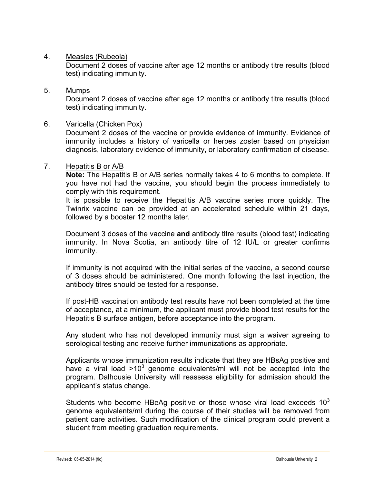## 4. Measles (Rubeola)

Document 2 doses of vaccine after age 12 months or antibody titre results (blood test) indicating immunity.

# 5. Mumps

Document 2 doses of vaccine after age 12 months or antibody titre results (blood test) indicating immunity.

## 6. Varicella (Chicken Pox)

Document 2 doses of the vaccine or provide evidence of immunity. Evidence of immunity includes a history of varicella or herpes zoster based on physician diagnosis, laboratory evidence of immunity, or laboratory confirmation of disease.

#### 7. Hepatitis B or A/B

**Note:** The Hepatitis B or A/B series normally takes 4 to 6 months to complete. If you have not had the vaccine, you should begin the process immediately to comply with this requirement.

It is possible to receive the Hepatitis A/B vaccine series more quickly. The Twinrix vaccine can be provided at an accelerated schedule within 21 days, followed by a booster 12 months later.

Document 3 doses of the vaccine **and** antibody titre results (blood test) indicating immunity. In Nova Scotia, an antibody titre of 12 IU/L or greater confirms immunity.

If immunity is not acquired with the initial series of the vaccine, a second course of 3 doses should be administered. One month following the last injection, the antibody titres should be tested for a response.

If post-HB vaccination antibody test results have not been completed at the time of acceptance, at a minimum, the applicant must provide blood test results for the Hepatitis B surface antigen, before acceptance into the program.

Any student who has not developed immunity must sign a waiver agreeing to serological testing and receive further immunizations as appropriate.

Applicants whose immunization results indicate that they are HBsAg positive and have a viral load  $>10^3$  genome equivalents/ml will not be accepted into the program. Dalhousie University will reassess eligibility for admission should the applicant's status change.

Students who become HBeAg positive or those whose viral load exceeds  $10<sup>3</sup>$ genome equivalents/ml during the course of their studies will be removed from patient care activities. Such modification of the clinical program could prevent a student from meeting graduation requirements.